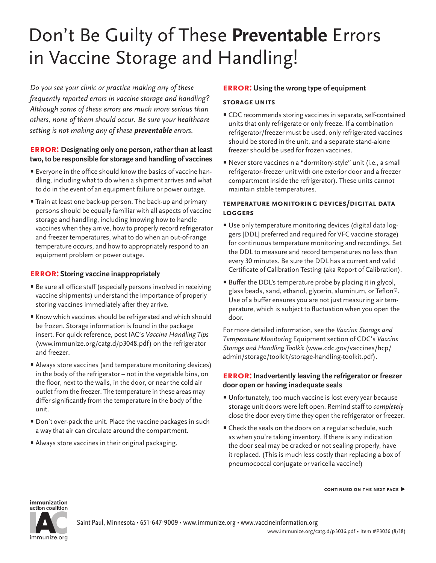# Don't Be Guilty of These **Preventable** Errors in Vaccine Storage and Handling!

*Do you see your clinic or practice making any of these frequently reported errors in vaccine storage and handling? Although some of these errors are much more serious than others, none of them should occur. Be sure your healthcare setting is not making any of these preventable errors.*

### **ERROR:** Designating only one person, rather than at least **two, to be responsible for storage and handling of vaccines**

- Everyone in the office should know the basics of vaccine handling, including what to do when a shipment arrives and what to do in the event of an equipment failure or power outage.
- Train at least one back-up person. The back-up and primary persons should be equally familiar with all aspects of vaccine storage and handling, including knowing how to handle vaccines when they arrive, how to properly record refrigerator and freezer temperatures, what to do when an out-of-range temperature occurs, and how to appropriately respond to an equipment problem or power outage.

# **ERROR:** Storing vaccine inappropriately

- Be sure all office staff (especially persons involved in receiving vaccine shipments) understand the importance of properly storing vaccines immediately after they arrive.
- Know which vaccines should be refrigerated and which should be frozen. Storage information is found in the package insert. For quick reference, post IAC's *Vaccine Handling Tips* ([www.immunize.org/catg.d/p3048.pdf\)](http://www.immunize.org/catg.d/p3048.pdf) on the refrigerator and freezer.
- Always store vaccines (and temperature monitoring devices) in the body of the refrigerator – not in the vegetable bins, on the floor, next to the walls, in the door, or near the cold air outlet from the freezer. The temperature in these areas may differ significantly from the temperature in the body of the unit.
- Don't over-pack the unit. Place the vaccine packages in such a way that air can circulate around the compartment.
- Always store vaccines in their original packaging.

# **ERROR:** Using the wrong type of equipment

#### **storage units**

- CDC recommends storing vaccines in separate, self-contained units that only refrigerate or only freeze. If a combination refrigerator/freezer must be used, only refrigerated vaccines should be stored in the unit, and a separate stand-alone freezer should be used for frozen vaccines.
- Never store vaccines n a "dormitory-style" unit (i.e., a small refrigerator-freezer unit with one exterior door and a freezer compartment inside the refrigerator). These units cannot maintain stable temperatures.

# **temperature monitoring devices/digital data loggers**

- Use only temperature monitoring devices (digital data loggers [DDL] preferred and required for VFC vaccine storage) for continuous temperature monitoring and recordings. Set the DDL to measure and record temperatures no less than every 30 minutes. Be sure the DDL has a current and valid Certificate of Calibration Testing (aka Report of Calibration).
- Buffer the DDL's temperature probe by placing it in glycol, glass beads, sand, ethanol, glycerin, aluminum, or Teflon®. Use of a buffer ensures you are not just measuring air temperature, which is subject to fluctuation when you open the door.

For more detailed information, see the *Vaccine Storage and Temperature Monitoring* Equipment section of CDC's *Vaccine Storage and Handling Toolkit* (www.cdc.gov/vaccines/hcp/ admin/storage/toolkit/storage-handling-toolkit.pdf).

### **ERROR:** Inadvertently leaving the refrigerator or freezer **door open or having inadequate seals**

- Unfortunately, too much vaccine is lost every year because storage unit doors were left open. Remind staff to *completely* close the door every time they open the refrigerator or freezer.
- Check the seals on the doors on a regular schedule, such as when you're taking inventory. If there is any indication the door seal may be cracked or not sealing properly, have it replaced. (This is much less costly than replacing a box of pneumococcal conjugate or varicella vaccine!)

**continued on the next page ▶**

**immunization**



Saint Paul, Minnesota • 651-647-9009 • [www.immunize.org](http://www.immunize.org) • [www.vaccineinformation.org](http://www.vaccineinformation.org)

[www.immunize.org/catg.d/p3036.pdf](http://www.immunize.org/catg.d/p3036.pdf) • Item #P3036 (8/18)